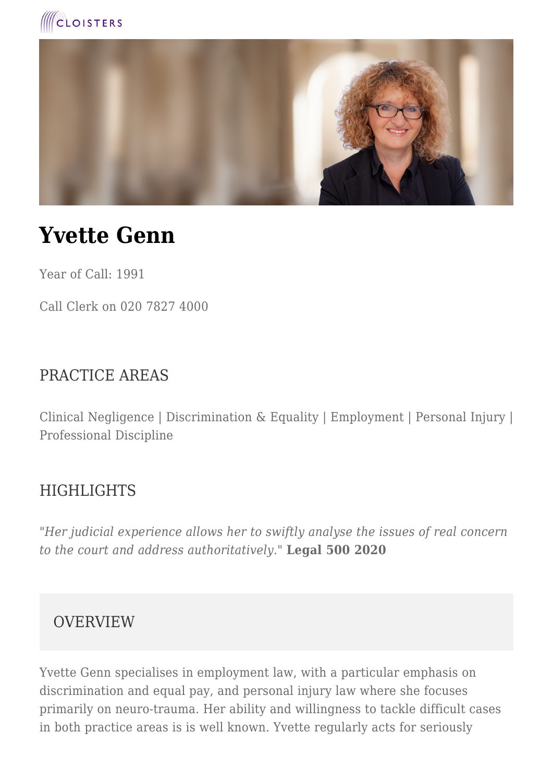



# **Yvette Genn**

Year of Call: 1991

Call Clerk on 020 7827 4000

#### PRACTICE AREAS

Clinical Negligence | Discrimination & Equality | Employment | Personal Injury | Professional Discipline

#### **HIGHLIGHTS**

*"Her judicial experience allows her to swiftly analyse the issues of real concern to the court and address authoritatively."* **Legal 500 2020**

#### **OVERVIEW**

Yvette Genn specialises in employment law, with a particular emphasis on discrimination and equal pay, and personal injury law where she focuses primarily on neuro-trauma. Her ability and willingness to tackle difficult cases in both practice areas is is well known. Yvette regularly acts for seriously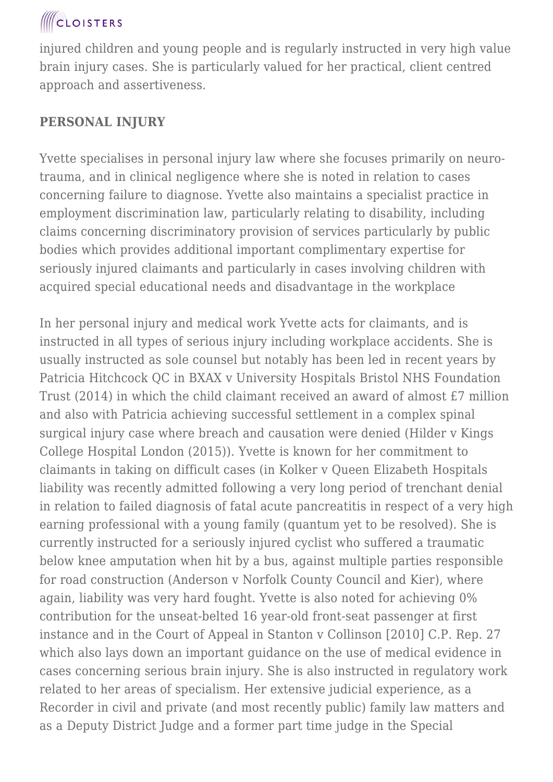injured children and young people and is regularly instructed in very high value brain injury cases. She is particularly valued for her practical, client centred approach and assertiveness.

#### **PERSONAL INJURY**

Yvette specialises in personal injury law where she focuses primarily on neurotrauma, and in clinical negligence where she is noted in relation to cases concerning failure to diagnose. Yvette also maintains a specialist practice in employment discrimination law, particularly relating to disability, including claims concerning discriminatory provision of services particularly by public bodies which provides additional important complimentary expertise for seriously injured claimants and particularly in cases involving children with acquired special educational needs and disadvantage in the workplace

In her personal injury and medical work Yvette acts for claimants, and is instructed in all types of serious injury including workplace accidents. She is usually instructed as sole counsel but notably has been led in recent years by Patricia Hitchcock QC in BXAX v University Hospitals Bristol NHS Foundation Trust (2014) in which the child claimant received an award of almost £7 million and also with Patricia achieving successful settlement in a complex spinal surgical injury case where breach and causation were denied (Hilder v Kings College Hospital London (2015)). Yvette is known for her commitment to claimants in taking on difficult cases (in Kolker v Queen Elizabeth Hospitals liability was recently admitted following a very long period of trenchant denial in relation to failed diagnosis of fatal acute pancreatitis in respect of a very high earning professional with a young family (quantum yet to be resolved). She is currently instructed for a seriously injured cyclist who suffered a traumatic below knee amputation when hit by a bus, against multiple parties responsible for road construction (Anderson v Norfolk County Council and Kier), where again, liability was very hard fought. Yvette is also noted for achieving 0% contribution for the unseat-belted 16 year-old front-seat passenger at first instance and in the Court of Appeal in Stanton v Collinson [2010] C.P. Rep. 27 which also lays down an important guidance on the use of medical evidence in cases concerning serious brain injury. She is also instructed in regulatory work related to her areas of specialism. Her extensive judicial experience, as a Recorder in civil and private (and most recently public) family law matters and as a Deputy District Judge and a former part time judge in the Special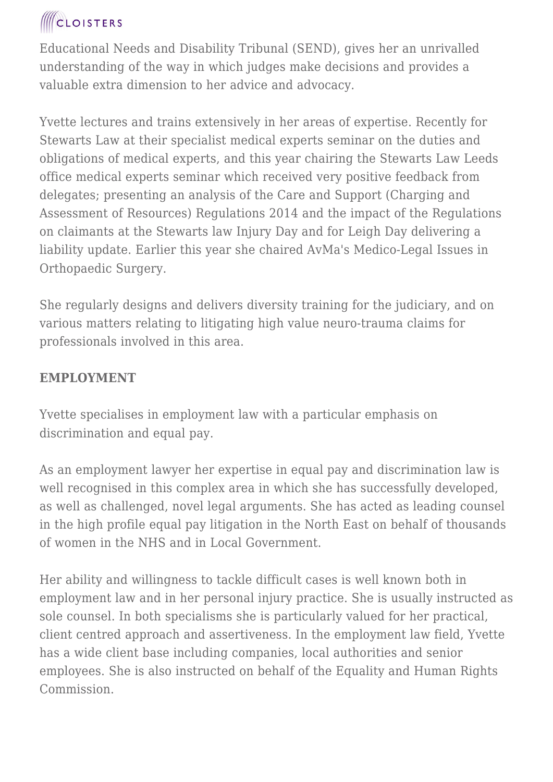Educational Needs and Disability Tribunal (SEND), gives her an unrivalled understanding of the way in which judges make decisions and provides a valuable extra dimension to her advice and advocacy.

Yvette lectures and trains extensively in her areas of expertise. Recently for Stewarts Law at their specialist medical experts seminar on the duties and obligations of medical experts, and this year chairing the Stewarts Law Leeds office medical experts seminar which received very positive feedback from delegates; presenting an analysis of the Care and Support (Charging and Assessment of Resources) Regulations 2014 and the impact of the Regulations on claimants at the Stewarts law Injury Day and for Leigh Day delivering a liability update. Earlier this year she chaired AvMa's Medico-Legal Issues in Orthopaedic Surgery.

She regularly designs and delivers diversity training for the judiciary, and on various matters relating to litigating high value neuro-trauma claims for professionals involved in this area.

#### **EMPLOYMENT**

Yvette specialises in employment law with a particular emphasis on discrimination and equal pay.

As an employment lawyer her expertise in equal pay and discrimination law is well recognised in this complex area in which she has successfully developed, as well as challenged, novel legal arguments. She has acted as leading counsel in the high profile equal pay litigation in the North East on behalf of thousands of women in the NHS and in Local Government.

Her ability and willingness to tackle difficult cases is well known both in employment law and in her personal injury practice. She is usually instructed as sole counsel. In both specialisms she is particularly valued for her practical, client centred approach and assertiveness. In the employment law field, Yvette has a wide client base including companies, local authorities and senior employees. She is also instructed on behalf of the Equality and Human Rights Commission.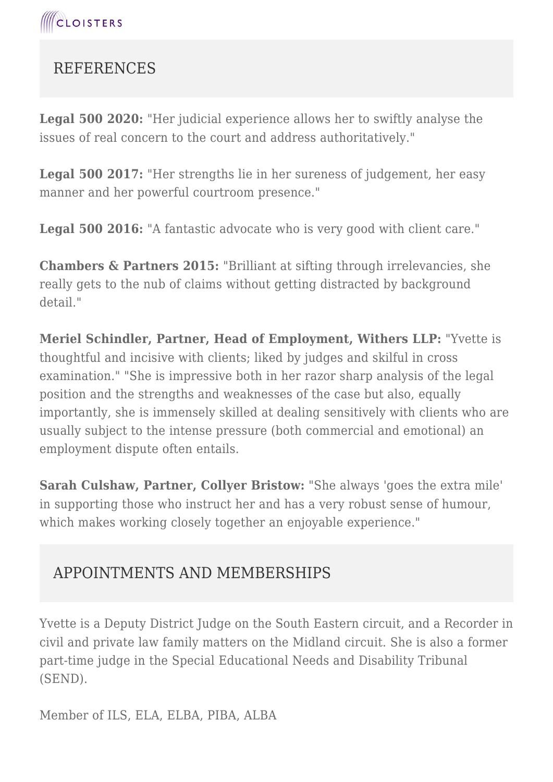

### **REFERENCES**

**Legal 500 2020:** "Her judicial experience allows her to swiftly analyse the issues of real concern to the court and address authoritatively."

**Legal 500 2017:** "Her strengths lie in her sureness of judgement, her easy manner and her powerful courtroom presence."

Legal 500 2016: "A fantastic advocate who is very good with client care."

**Chambers & Partners 2015:** "Brilliant at sifting through irrelevancies, she really gets to the nub of claims without getting distracted by background detail."

**Meriel Schindler, Partner, Head of Employment, Withers LLP:** "Yvette is thoughtful and incisive with clients; liked by judges and skilful in cross examination." "She is impressive both in her razor sharp analysis of the legal position and the strengths and weaknesses of the case but also, equally importantly, she is immensely skilled at dealing sensitively with clients who are usually subject to the intense pressure (both commercial and emotional) an employment dispute often entails.

**Sarah Culshaw, Partner, Collyer Bristow:** "She always 'goes the extra mile' in supporting those who instruct her and has a very robust sense of humour, which makes working closely together an enjoyable experience."

### APPOINTMENTS AND MEMBERSHIPS

Yvette is a Deputy District Judge on the South Eastern circuit, and a Recorder in civil and private law family matters on the Midland circuit. She is also a former part-time judge in the Special Educational Needs and Disability Tribunal (SEND).

Member of ILS, ELA, ELBA, PIBA, ALBA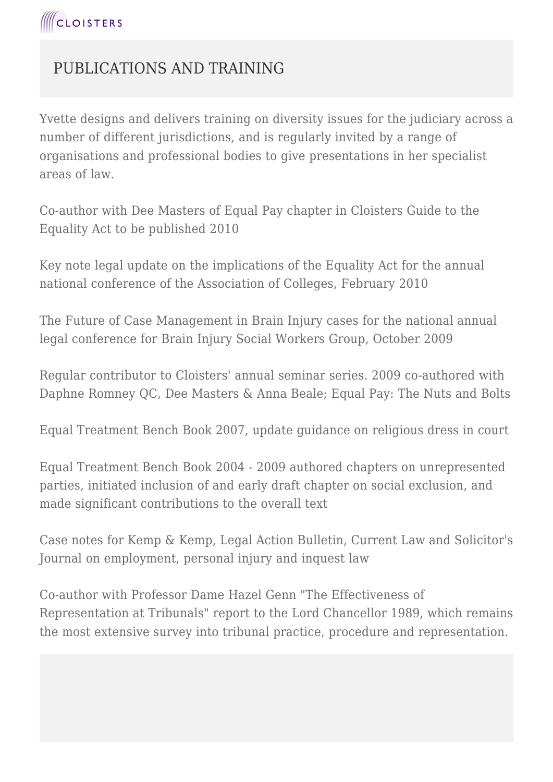

### PUBLICATIONS AND TRAINING

Yvette designs and delivers training on diversity issues for the judiciary across a number of different jurisdictions, and is regularly invited by a range of organisations and professional bodies to give presentations in her specialist areas of law.

Co-author with Dee Masters of Equal Pay chapter in Cloisters Guide to the Equality Act to be published 2010

Key note legal update on the implications of the Equality Act for the annual national conference of the Association of Colleges, February 2010

The Future of Case Management in Brain Injury cases for the national annual legal conference for Brain Injury Social Workers Group, October 2009

Regular contributor to Cloisters' annual seminar series. 2009 co-authored with Daphne Romney QC, Dee Masters & Anna Beale; Equal Pay: The Nuts and Bolts

Equal Treatment Bench Book 2007, update guidance on religious dress in court

Equal Treatment Bench Book 2004 - 2009 authored chapters on unrepresented parties, initiated inclusion of and early draft chapter on social exclusion, and made significant contributions to the overall text

Case notes for Kemp & Kemp, Legal Action Bulletin, Current Law and Solicitor's Journal on employment, personal injury and inquest law

Co-author with Professor Dame Hazel Genn "The Effectiveness of Representation at Tribunals" report to the Lord Chancellor 1989, which remains the most extensive survey into tribunal practice, procedure and representation.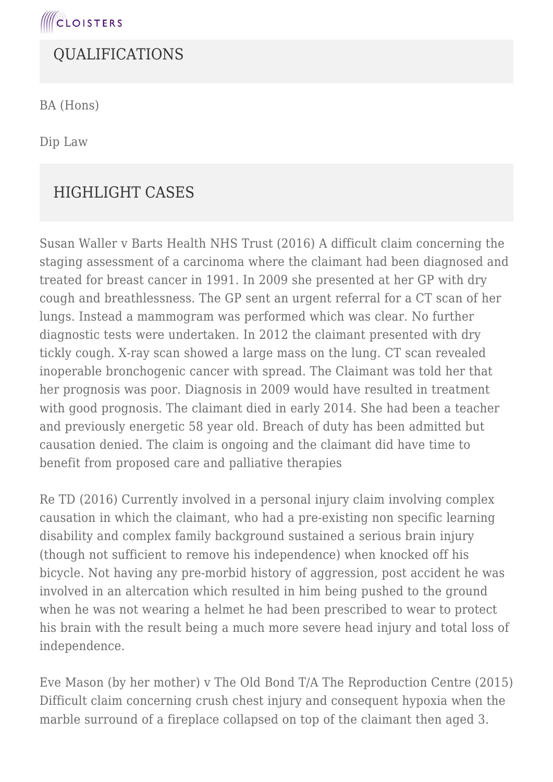

#### QUALIFICATIONS

BA (Hons)

Dip Law

### HIGHLIGHT CASES

Susan Waller v Barts Health NHS Trust (2016) A difficult claim concerning the staging assessment of a carcinoma where the claimant had been diagnosed and treated for breast cancer in 1991. In 2009 she presented at her GP with dry cough and breathlessness. The GP sent an urgent referral for a CT scan of her lungs. Instead a mammogram was performed which was clear. No further diagnostic tests were undertaken. In 2012 the claimant presented with dry tickly cough. X-ray scan showed a large mass on the lung. CT scan revealed inoperable bronchogenic cancer with spread. The Claimant was told her that her prognosis was poor. Diagnosis in 2009 would have resulted in treatment with good prognosis. The claimant died in early 2014. She had been a teacher and previously energetic 58 year old. Breach of duty has been admitted but causation denied. The claim is ongoing and the claimant did have time to benefit from proposed care and palliative therapies

Re TD (2016) Currently involved in a personal injury claim involving complex causation in which the claimant, who had a pre-existing non specific learning disability and complex family background sustained a serious brain injury (though not sufficient to remove his independence) when knocked off his bicycle. Not having any pre-morbid history of aggression, post accident he was involved in an altercation which resulted in him being pushed to the ground when he was not wearing a helmet he had been prescribed to wear to protect his brain with the result being a much more severe head injury and total loss of independence.

Eve Mason (by her mother) v The Old Bond T/A The Reproduction Centre (2015) Difficult claim concerning crush chest injury and consequent hypoxia when the marble surround of a fireplace collapsed on top of the claimant then aged 3.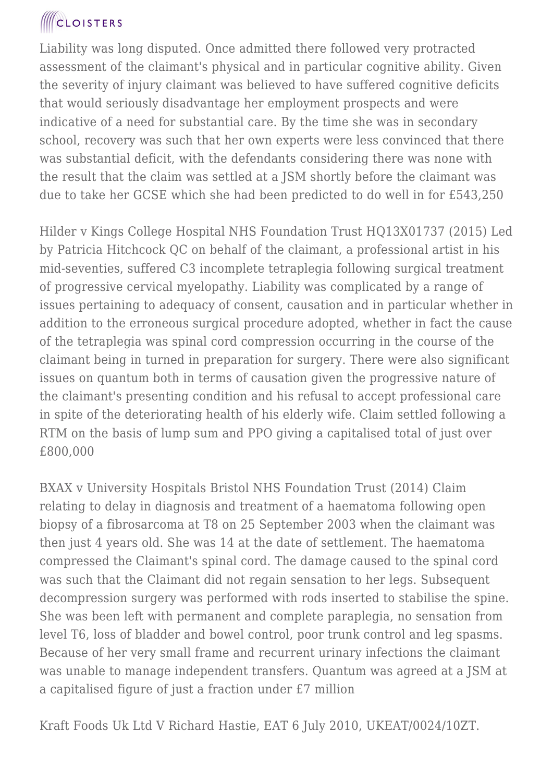Liability was long disputed. Once admitted there followed very protracted assessment of the claimant's physical and in particular cognitive ability. Given the severity of injury claimant was believed to have suffered cognitive deficits that would seriously disadvantage her employment prospects and were indicative of a need for substantial care. By the time she was in secondary school, recovery was such that her own experts were less convinced that there was substantial deficit, with the defendants considering there was none with the result that the claim was settled at a JSM shortly before the claimant was due to take her GCSE which she had been predicted to do well in for £543,250

Hilder v Kings College Hospital NHS Foundation Trust HQ13X01737 (2015) Led by Patricia Hitchcock QC on behalf of the claimant, a professional artist in his mid-seventies, suffered C3 incomplete tetraplegia following surgical treatment of progressive cervical myelopathy. Liability was complicated by a range of issues pertaining to adequacy of consent, causation and in particular whether in addition to the erroneous surgical procedure adopted, whether in fact the cause of the tetraplegia was spinal cord compression occurring in the course of the claimant being in turned in preparation for surgery. There were also significant issues on quantum both in terms of causation given the progressive nature of the claimant's presenting condition and his refusal to accept professional care in spite of the deteriorating health of his elderly wife. Claim settled following a RTM on the basis of lump sum and PPO giving a capitalised total of just over £800,000

BXAX v University Hospitals Bristol NHS Foundation Trust (2014) Claim relating to delay in diagnosis and treatment of a haematoma following open biopsy of a fibrosarcoma at T8 on 25 September 2003 when the claimant was then just 4 years old. She was 14 at the date of settlement. The haematoma compressed the Claimant's spinal cord. The damage caused to the spinal cord was such that the Claimant did not regain sensation to her legs. Subsequent decompression surgery was performed with rods inserted to stabilise the spine. She was been left with permanent and complete paraplegia, no sensation from level T6, loss of bladder and bowel control, poor trunk control and leg spasms. Because of her very small frame and recurrent urinary infections the claimant was unable to manage independent transfers. Quantum was agreed at a JSM at a capitalised figure of just a fraction under £7 million

Kraft Foods Uk Ltd V Richard Hastie, EAT 6 July 2010, UKEAT/0024/10ZT.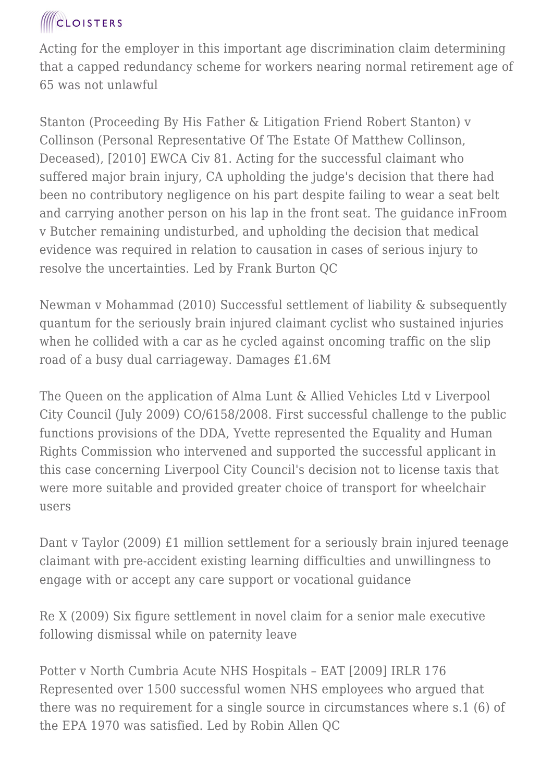Acting for the employer in this important age discrimination claim determining that a capped redundancy scheme for workers nearing normal retirement age of 65 was not unlawful

Stanton (Proceeding By His Father & Litigation Friend Robert Stanton) v Collinson (Personal Representative Of The Estate Of Matthew Collinson, Deceased), [2010] EWCA Civ 81. Acting for the successful claimant who suffered major brain injury, CA upholding the judge's decision that there had been no contributory negligence on his part despite failing to wear a seat belt and carrying another person on his lap in the front seat. The guidance inFroom v Butcher remaining undisturbed, and upholding the decision that medical evidence was required in relation to causation in cases of serious injury to resolve the uncertainties. Led by Frank Burton QC

Newman v Mohammad (2010) Successful settlement of liability & subsequently quantum for the seriously brain injured claimant cyclist who sustained injuries when he collided with a car as he cycled against oncoming traffic on the slip road of a busy dual carriageway. Damages £1.6M

The Queen on the application of Alma Lunt & Allied Vehicles Ltd v Liverpool City Council (July 2009) CO/6158/2008. First successful challenge to the public functions provisions of the DDA, Yvette represented the Equality and Human Rights Commission who intervened and supported the successful applicant in this case concerning Liverpool City Council's decision not to license taxis that were more suitable and provided greater choice of transport for wheelchair users

Dant v Taylor (2009) £1 million settlement for a seriously brain injured teenage claimant with pre-accident existing learning difficulties and unwillingness to engage with or accept any care support or vocational guidance

Re X (2009) Six figure settlement in novel claim for a senior male executive following dismissal while on paternity leave

Potter v North Cumbria Acute NHS Hospitals – EAT [2009] IRLR 176 Represented over 1500 successful women NHS employees who argued that there was no requirement for a single source in circumstances where s.1 (6) of the EPA 1970 was satisfied. Led by Robin Allen QC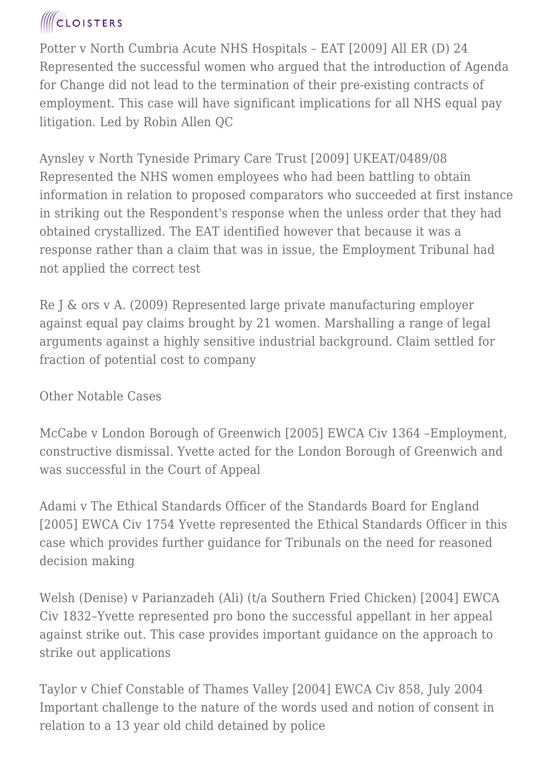Potter v North Cumbria Acute NHS Hospitals – EAT [2009] All ER (D) 24 Represented the successful women who argued that the introduction of Agenda for Change did not lead to the termination of their pre-existing contracts of employment. This case will have significant implications for all NHS equal pay litigation. Led by Robin Allen QC

Aynsley v North Tyneside Primary Care Trust [2009] UKEAT/0489/08 Represented the NHS women employees who had been battling to obtain information in relation to proposed comparators who succeeded at first instance in striking out the Respondent's response when the unless order that they had obtained crystallized. The EAT identified however that because it was a response rather than a claim that was in issue, the Employment Tribunal had not applied the correct test

Re J & ors v A. (2009) Represented large private manufacturing employer against equal pay claims brought by 21 women. Marshalling a range of legal arguments against a highly sensitive industrial background. Claim settled for fraction of potential cost to company

#### Other Notable Cases

McCabe v London Borough of Greenwich [2005] EWCA Civ 1364 –Employment, constructive dismissal. Yvette acted for the London Borough of Greenwich and was successful in the Court of Appeal

Adami v The Ethical Standards Officer of the Standards Board for England [2005] EWCA Civ 1754 Yvette represented the Ethical Standards Officer in this case which provides further guidance for Tribunals on the need for reasoned decision making

Welsh (Denise) v Parianzadeh (Ali) (t/a Southern Fried Chicken) [2004] EWCA Civ 1832–Yvette represented pro bono the successful appellant in her appeal against strike out. This case provides important guidance on the approach to strike out applications

Taylor v Chief Constable of Thames Valley [2004] EWCA Civ 858, July 2004 Important challenge to the nature of the words used and notion of consent in relation to a 13 year old child detained by police